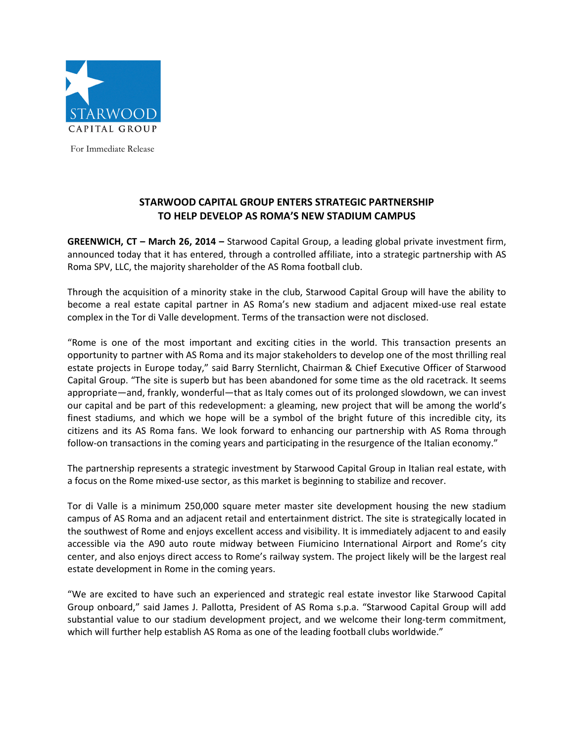

For Immediate Release

## **STARWOOD CAPITAL GROUP ENTERS STRATEGIC PARTNERSHIP TO HELP DEVELOP AS ROMA'S NEW STADIUM CAMPUS**

**GREENWICH, CT – March 26, 2014 –** Starwood Capital Group, a leading global private investment firm, announced today that it has entered, through a controlled affiliate, into a strategic partnership with AS Roma SPV, LLC, the majority shareholder of the AS Roma football club.

Through the acquisition of a minority stake in the club, Starwood Capital Group will have the ability to become a real estate capital partner in AS Roma's new stadium and adjacent mixed-use real estate complex in the Tor di Valle development. Terms of the transaction were not disclosed.

"Rome is one of the most important and exciting cities in the world. This transaction presents an opportunity to partner with AS Roma and its major stakeholders to develop one of the most thrilling real estate projects in Europe today," said Barry Sternlicht, Chairman & Chief Executive Officer of Starwood Capital Group. "The site is superb but has been abandoned for some time as the old racetrack. It seems appropriate—and, frankly, wonderful—that as Italy comes out of its prolonged slowdown, we can invest our capital and be part of this redevelopment: a gleaming, new project that will be among the world's finest stadiums, and which we hope will be a symbol of the bright future of this incredible city, its citizens and its AS Roma fans. We look forward to enhancing our partnership with AS Roma through follow-on transactions in the coming years and participating in the resurgence of the Italian economy."

The partnership represents a strategic investment by Starwood Capital Group in Italian real estate, with a focus on the Rome mixed-use sector, as this market is beginning to stabilize and recover.

Tor di Valle is a minimum 250,000 square meter master site development housing the new stadium campus of AS Roma and an adjacent retail and entertainment district. The site is strategically located in the southwest of Rome and enjoys excellent access and visibility. It is immediately adjacent to and easily accessible via the A90 auto route midway between Fiumicino International Airport and Rome's city center, and also enjoys direct access to Rome's railway system. The project likely will be the largest real estate development in Rome in the coming years.

"We are excited to have such an experienced and strategic real estate investor like Starwood Capital Group onboard," said James J. Pallotta, President of AS Roma s.p.a. "Starwood Capital Group will add substantial value to our stadium development project, and we welcome their long-term commitment, which will further help establish AS Roma as one of the leading football clubs worldwide."